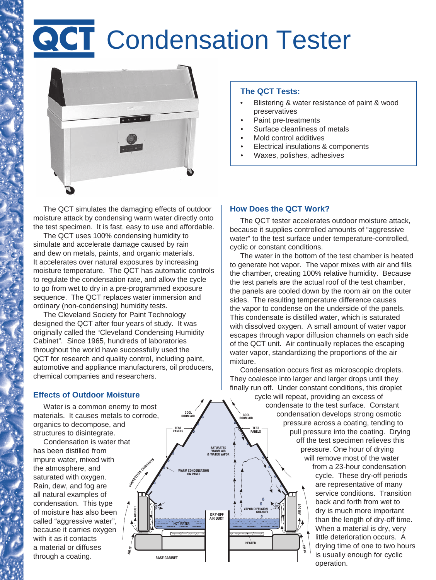# **QCT** Condensation Tester



 The QCT simulates the damaging effects of outdoor moisture attack by condensing warm water directly onto the test specimen. It is fast, easy to use and affordable.

 The QCT uses 100% condensing humidity to simulate and accelerate damage caused by rain and dew on metals, paints, and organic materials. It accelerates over natural exposures by increasing moisture temperature. The QCT has automatic controls to regulate the condensation rate, and allow the cycle to go from wet to dry in a pre-programmed exposure sequence. The QCT replaces water immersion and ordinary (non-condensing) humidity tests.

 The Cleveland Society for Paint Technology designed the QCT after four years of study. It was originally called the "Cleveland Condensing Humidity Cabinet". Since 1965, hundreds of laboratories throughout the world have successfully used the QCT for research and quality control, including paint, automotive and appliance manufacturers, oil producers, chemical companies and researchers.

**AIR IN**

## **Effects of Outdoor Moisture**

 Water is a common enemy to most materials. It causes metals to corrode, organics to decompose, and structures to disintegrate.

 Condensation is water that has been distilled from impure water, mixed with the atmosphere, and saturated with oxygen. Rain, dew, and fog are all natural examples of condensation. This type of moisture has also been called "aggressive water", because it carries oxygen with it as it contacts a material or diffuses through a coating.

#### **TEST PANELS BASE CABINET HOT WATER DRY-OFF AIR DUCT COOL ROOM AIR** CONFIRMALLY **AIR OUT WARM CONDENSATION ON PANEL SATURATED WARM AIR & WATER VAPOR HEATER AIR IN VAPOR DIFFUSION CHANNEL AIR OUT TEST PANELS COOL ROOM AIR**

#### **The QCT Tests:**

- Blistering & water resistance of paint & wood preservatives
- Paint pre-treatments
- Surface cleanliness of metals
- Mold control additives
- Electrical insulations & components
- Waxes, polishes, adhesives

### **How Does the QCT Work?**

 The QCT tester accelerates outdoor moisture attack, because it supplies controlled amounts of "aggressive water" to the test surface under temperature-controlled, cyclic or constant conditions.

 The water in the bottom of the test chamber is heated to generate hot vapor. The vapor mixes with air and fills the chamber, creating 100% relative humidity. Because the test panels are the actual roof of the test chamber, the panels are cooled down by the room air on the outer sides. The resulting temperature difference causes the vapor to condense on the underside of the panels. This condensate is distilled water, which is saturated with dissolved oxygen. A small amount of water vapor escapes through vapor diffusion channels on each side of the QCT unit. Air continually replaces the escaping water vapor, standardizing the proportions of the air mixture.

 Condensation occurs first as microscopic droplets. They coalesce into larger and larger drops until they finally run off. Under constant conditions, this droplet cycle will repeat, providing an excess of condensate to the test surface. Constant condensation develops strong osmotic pressure across a coating, tending to pull pressure into the coating. Drying off the test specimen relieves this pressure. One hour of drying will remove most of the water from a 23-hour condensation cycle. These dry-off periods are representative of many service conditions. Transition back and forth from wet to dry is much more important than the length of dry-off time. When a material is dry, very little deterioration occurs. A drying time of one to two hours is usually enough for cyclic operation.